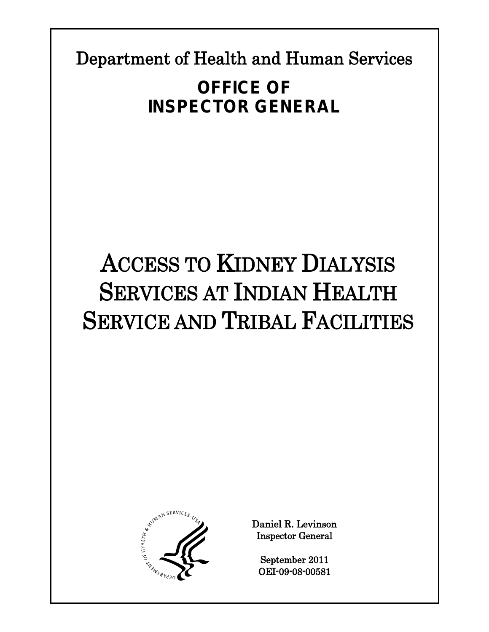Department of Health and Human Services

# **OFFICE OF INSPECTOR GENERAL**

# ACCESS TO KIDNEY DIALYSIS SERVICES AT INDIAN HEALTH SERVICE AND TRIBAL FACILITIES



Daniel R. Levinson Inspector General

September 2011 OEI-09-08-00581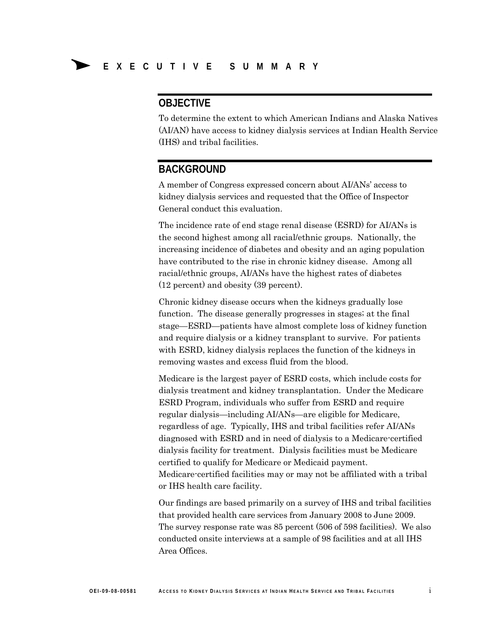### **OBJECTIVE**

To determine the extent to which American Indians and Alaska Natives (AI/AN) have access to kidney dialysis services at Indian Health Service (IHS) and tribal facilities.

### **BACKGROUND**

A member of Congress expressed concern about AI/ANs' access to kidney dialysis services and requested that the Office of Inspector General conduct this evaluation.

The incidence rate of end stage renal disease (ESRD) for AI/ANs is the second highest among all racial/ethnic groups. Nationally, the increasing incidence of diabetes and obesity and an aging population have contributed to the rise in chronic kidney disease. Among all racial/ethnic groups, AI/ANs have the highest rates of diabetes (12 percent) and obesity (39 percent).

Chronic kidney disease occurs when the kidneys gradually lose function. The disease generally progresses in stages; at the final stage—ESRD—patients have almost complete loss of kidney function and require dialysis or a kidney transplant to survive. For patients with ESRD, kidney dialysis replaces the function of the kidneys in removing wastes and excess fluid from the blood.

Medicare is the largest payer of ESRD costs, which include costs for dialysis treatment and kidney transplantation. Under the Medicare ESRD Program, individuals who suffer from ESRD and require regular dialysis—including AI/ANs—are eligible for Medicare, regardless of age. Typically, IHS and tribal facilities refer AI/ANs diagnosed with ESRD and in need of dialysis to a Medicare-certified dialysis facility for treatment. Dialysis facilities must be Medicare certified to qualify for Medicare or Medicaid payment. Medicare-certified facilities may or may not be affiliated with a tribal or IHS health care facility.

Our findings are based primarily on a survey of IHS and tribal facilities that provided health care services from January 2008 to June 2009. The survey response rate was 85 percent (506 of 598 facilities). We also conducted onsite interviews at a sample of 98 facilities and at all IHS Area Offices.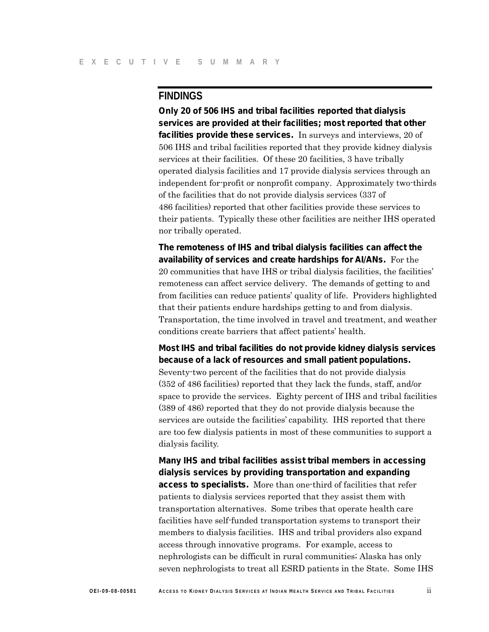### **FINDINGS**

**Only 20 of 506 IHS and tribal facilities reported that dialysis services are provided at their facilities; most reported that other facilities provide these services.** In surveys and interviews, 20 of 506 IHS and tribal facilities reported that they provide kidney dialysis services at their facilities. Of these 20 facilities, 3 have tribally operated dialysis facilities and 17 provide dialysis services through an independent for-profit or nonprofit company. Approximately two-thirds of the facilities that do not provide dialysis services (337 of 486 facilities) reported that other facilities provide these services to their patients. Typically these other facilities are neither IHS operated nor tribally operated.

**The remoteness of IHS and tribal dialysis facilities can affect the availability of services and create hardships for AI/ANs.** For the 20 communities that have IHS or tribal dialysis facilities, the facilities' remoteness can affect service delivery. The demands of getting to and from facilities can reduce patients' quality of life. Providers highlighted that their patients endure hardships getting to and from dialysis. Transportation, the time involved in travel and treatment, and weather conditions create barriers that affect patients' health.

**Most IHS and tribal facilities do not provide kidney dialysis services because of a lack of resources and small patient populations.**  Seventy-two percent of the facilities that do not provide dialysis (352 of 486 facilities) reported that they lack the funds, staff, and/or space to provide the services. Eighty percent of IHS and tribal facilities (389 of 486) reported that they do not provide dialysis because the services are outside the facilities' capability. IHS reported that there are too few dialysis patients in most of these communities to support a dialysis facility.

**Many IHS and tribal facilities assist tribal members in accessing dialysis services by providing transportation and expanding access to specialists.** More than one-third of facilities that refer patients to dialysis services reported that they assist them with transportation alternatives. Some tribes that operate health care facilities have self-funded transportation systems to transport their members to dialysis facilities. IHS and tribal providers also expand access through innovative programs. For example, access to nephrologists can be difficult in rural communities; Alaska has only seven nephrologists to treat all ESRD patients in the State. Some IHS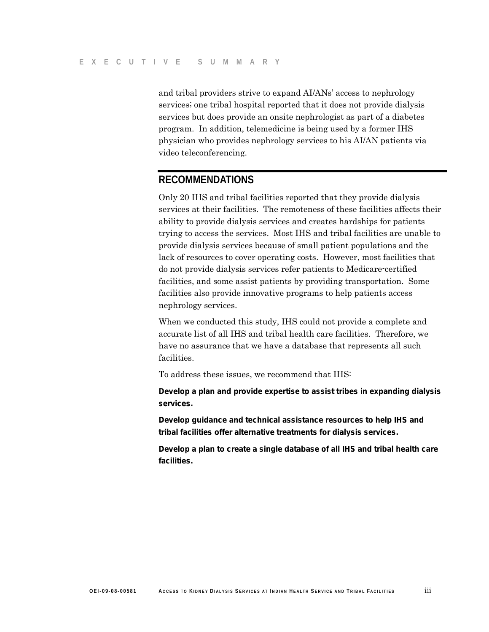and tribal providers strive to expand AI/ANs' access to nephrology services; one tribal hospital reported that it does not provide dialysis services but does provide an onsite nephrologist as part of a diabetes program. In addition, telemedicine is being used by a former IHS physician who provides nephrology services to his AI/AN patients via video teleconferencing.

### **RECOMMENDATIONS**

Only 20 IHS and tribal facilities reported that they provide dialysis services at their facilities. The remoteness of these facilities affects their ability to provide dialysis services and creates hardships for patients trying to access the services. Most IHS and tribal facilities are unable to provide dialysis services because of small patient populations and the lack of resources to cover operating costs. However, most facilities that do not provide dialysis services refer patients to Medicare-certified facilities, and some assist patients by providing transportation. Some facilities also provide innovative programs to help patients access nephrology services.

When we conducted this study, IHS could not provide a complete and accurate list of all IHS and tribal health care facilities. Therefore, we have no assurance that we have a database that represents all such facilities.

To address these issues, we recommend that IHS:

**Develop a plan and provide expertise to assist tribes in expanding dialysis services.** 

**Develop guidance and technical assistance resources to help IHS and tribal facilities offer alternative treatments for dialysis services.** 

**Develop a plan to create a single database of all IHS and tribal health care facilities.**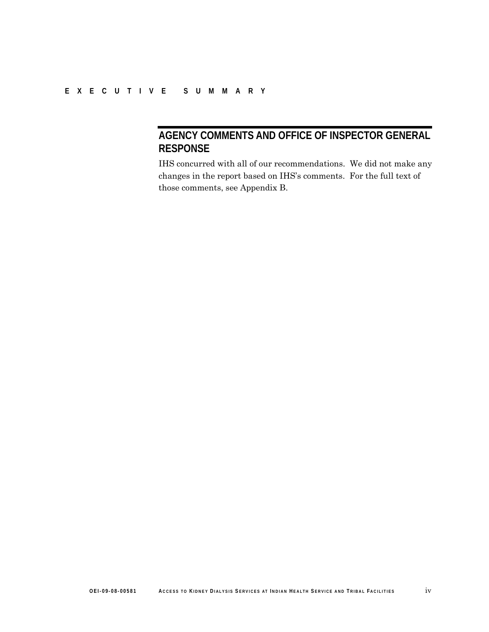### **AGENCY COMMENTS AND OFFICE OF INSPECTOR GENERAL RESPONSE**

IHS concurred with all of our recommendations. We did not make any changes in the report based on IHS's comments. For the full text of those comments, see Appendix B.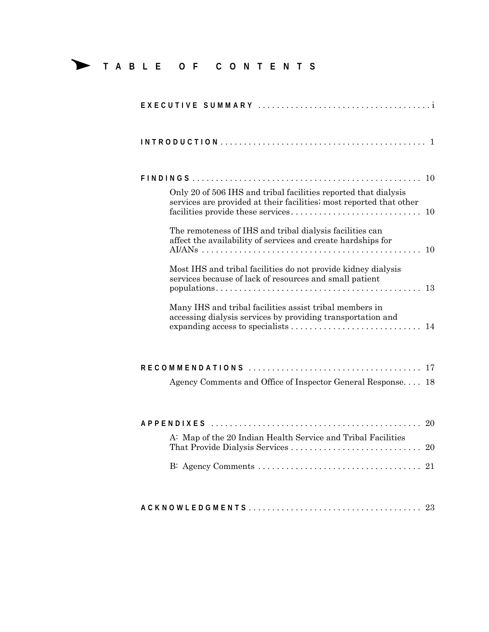**TABLE OF CONTENTS**

| 10                                                                                                                                           |
|----------------------------------------------------------------------------------------------------------------------------------------------|
| Only 20 of 506 IHS and tribal facilities reported that dialysis<br>services are provided at their facilities; most reported that other<br>10 |
| The remoteness of IHS and tribal dialysis facilities can<br>affect the availability of services and create hardships for<br>10               |
| Most IHS and tribal facilities do not provide kidney dialysis<br>services because of lack of resources and small patient<br>-13              |
| Many IHS and tribal facilities assist tribal members in<br>accessing dialysis services by providing transportation and                       |
|                                                                                                                                              |
| Agency Comments and Office of Inspector General Response 18                                                                                  |
| <i>APPENDIXES</i>                                                                                                                            |
| A: Map of the 20 Indian Health Service and Tribal Facilities                                                                                 |
|                                                                                                                                              |
|                                                                                                                                              |
|                                                                                                                                              |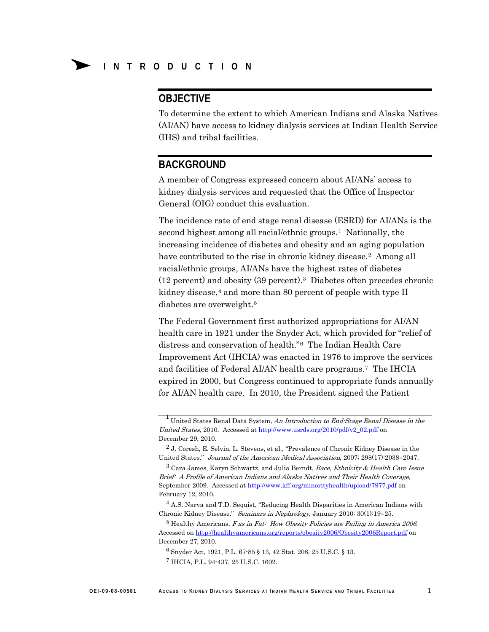### **OBJECTIVE**

To determine the extent to which American Indians and Alaska Natives (AI/AN) have access to kidney dialysis services at Indian Health Service (IHS) and tribal facilities.

### **BACKGROUND**

A member of Congress expressed concern about AI/ANs' access to kidney dialysis services and requested that the Office of Inspector General (OIG) conduct this evaluation.

The incidence rate of end stage renal disease (ESRD) for AI/ANs is the second highest among all racial/ethnic groups.<sup>1</sup> Nationally, the increasing incidence of diabetes and obesity and an aging population have contributed to the rise in chronic kidney disease.<sup>[2](#page-6-1)</sup> Among all racial/ethnic groups, AI/ANs have the highest rates of diabetes (12 percent) and obesity (39 percent)[.3](#page-6-2) Diabetes often precedes chronic kidney disease, $4$  and more than 80 percent of people with type II diabetes are overweight.<sup>[5](#page-6-4)</sup>

The Federal Government first authorized appropriations for AI/AN health care in 1921 under the Snyder Act, which provided for "relief of distress and conservation of health." [6](#page-6-5) The Indian Health Care Improvement Act (IHCIA) was enacted in 1976 to improve the services and facilities of Federal AI/AN health care programs.[7](#page-6-6) The IHCIA expired in 2000, but Congress continued to appropriate funds annually for AI/AN health care. In 2010, the President signed the Patient

<span id="page-6-0"></span><sup>&</sup>lt;sup>1</sup> United States Renal Data System, An Introduction to End-Stage Renal Disease in the United States, 2010. Accessed at [http://www.usrds.org/2010/pdf/v2\\_02.pdf](http://www.usrds.org/2010/pdf/v2_02.pdf) on December 29, 2010.

<span id="page-6-1"></span><sup>2</sup> J. Coresh, E. Selvin, L. Stevens, et al., "Prevalence of Chronic Kidney Disease in the United States." Journal of the American Medical Association, 2007; 298(17):2038–2047.

<span id="page-6-2"></span> $3$  Cara James, Karyn Schwartz, and Julia Berndt, Race, Ethnicity & Health Care Issue Brief: A Profile of American Indians and Alaska Natives and Their Health Coverage, September 2009. Accessed a[t http://www.kff.org/minorityhealth/upload/7977.pdf](http://www.kff.org/minorityhealth/upload/7977.pdf) on February 12, 2010.

<span id="page-6-3"></span><sup>4</sup> A.S. Narva and T.D. Sequist, "Reducing Health Disparities in American Indians with Chronic Kidney Disease." Seminars in Nephrology, January 2010; 30(1):19–25.

<span id="page-6-6"></span><span id="page-6-5"></span><span id="page-6-4"></span><sup>5</sup> Healthy Americans, F as in Fat: How Obesity Policies are Failing in America 2006. Accessed on http://healthyamericans.org/reports/obesity2006/Obesity2006Report.pdf on December 27, 2010.

<sup>6</sup> Snyder Act, 1921, P.L. 67-85 § 13, 42 Stat. 208, 25 U.S.C. § 13.

<sup>7</sup> IHCIA, P.L. 94-437, 25 U.S.C. 1602.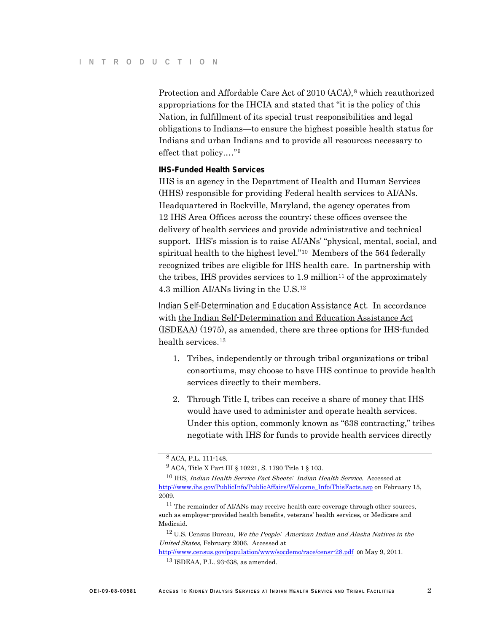Protection and Affordable Care Act of 2010 (ACA),<sup>[8](#page-7-0)</sup> which reauthorized appropriations for the IHCIA and stated that "it is the policy of this Nation, in fulfillment of its special trust responsibilities and legal obligations to Indians—to ensure the highest possible health status for Indians and urban Indians and to provide all resources necessary to effect that policy.…["9](#page-7-1)

#### **IHS-Funded Health Services**

IHS is an agency in the Department of Health and Human Services (HHS) responsible for providing Federal health services to AI/ANs. Headquartered in Rockville, Maryland, the agency operates from 12 IHS Area Offices across the country; these offices oversee the delivery of health services and provide administrative and technical support. IHS's mission is to raise AI/ANs' "physical, mental, social, and spiritual health to the highest level."[10](#page-7-2) Members of the 564 federally recognized tribes are eligible for IHS health care. In partnership with the tribes, IHS provides services to  $1.9 \text{ million}^{11}$  $1.9 \text{ million}^{11}$  $1.9 \text{ million}^{11}$  of the approximately 4.3 million AI/ANs living in the U.S[.12](#page-7-4)

*Indian Self-Determination and Education Assistance Act.* In accordance with the Indian Self-Determination and Education Assistance Act (ISDEAA) (1975), as amended, there are three options for IHS-funded health services.[13](#page-7-5)

- 1. Tribes, independently or through tribal organizations or tribal consortiums, may choose to have IHS continue to provide health services directly to their members.
- 2. Through Title I, tribes can receive a share of money that IHS would have used to administer and operate health services. Under this option, commonly known as "638 contracting," tribes negotiate with IHS for funds to provide health services directly

<sup>8</sup> ACA, P.L. 111-148.

<sup>9</sup> ACA, Title X Part III § 10221, S. 1790 Title 1 § 103.

<span id="page-7-2"></span><span id="page-7-1"></span><span id="page-7-0"></span><sup>&</sup>lt;sup>10</sup> IHS, Indian Health Service Fact Sheets: Indian Health Service. Accessed at [http://www.ihs.gov/PublicInfo/PublicAffairs/Welcome\\_Info/ThisFacts.asp](http://www.ihs.gov/PublicInfo/PublicAffairs/Welcome_Info/ThisFacts.asp) on February 15, 2009.

<span id="page-7-3"></span><sup>&</sup>lt;sup>11</sup> The remainder of AI/ANs may receive health care coverage through other sources, such as employer-provided health benefits, veterans' health services, or Medicare and Medicaid.

 $12$  U.S. Census Bureau, We the People: American Indian and Alaska Natives in the United States, February 2006. Accessed at

<span id="page-7-5"></span><span id="page-7-4"></span><http://www.census.gov/population/www/socdemo/race/censr-28.pdf> on May 9, 2011.

<sup>13</sup> ISDEAA, P.L. 93-638, as amended.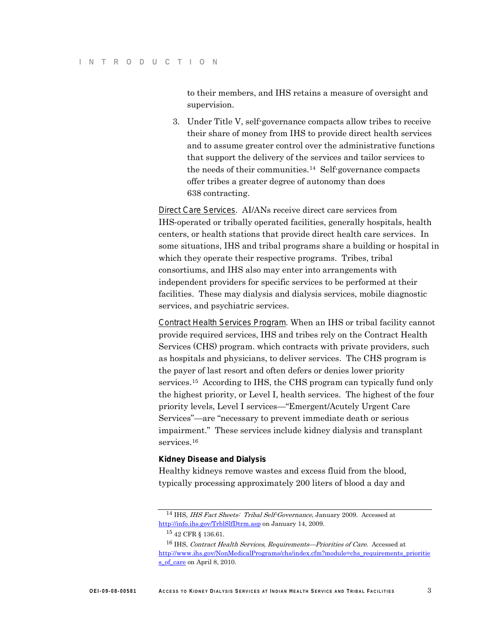to their members, and IHS retains a measure of oversight and supervision.

3. Under Title V, self-governance compacts allow tribes to receive their share of money from IHS to provide direct health services and to assume greater control over the administrative functions that support the delivery of the services and tailor services to the needs of their communities.[14](#page-8-0) Self-governance compacts offer tribes a greater degree of autonomy than does 638 contracting.

*Direct Care Services.* AI/ANs receive direct care services from IHS-operated or tribally operated facilities, generally hospitals, health centers, or health stations that provide direct health care services. In some situations, IHS and tribal programs share a building or hospital in which they operate their respective programs. Tribes, tribal consortiums, and IHS also may enter into arrangements with independent providers for specific services to be performed at their facilities. These may dialysis and dialysis services, mobile diagnostic services, and psychiatric services.

*Contract Health Services Program.* When an IHS or tribal facility cannot provide required services, IHS and tribes rely on the Contract Health Services (CHS) program. which contracts with private providers, such as hospitals and physicians, to deliver services. The CHS program is the payer of last resort and often defers or denies lower priority services.[15](#page-8-1) According to IHS, the CHS program can typically fund only the highest priority, or Level I, health services. The highest of the four priority levels, Level I services—"Emergent/Acutely Urgent Care Services"—are "necessary to prevent immediate death or serious impairment." These services include kidney dialysis and transplant services.<sup>[16](#page-8-2)</sup>

#### **Kidney Disease and Dialysis**

Healthy kidneys remove wastes and excess fluid from the blood, typically processing approximately 200 liters of blood a day and

<span id="page-8-0"></span><sup>&</sup>lt;sup>14</sup> IHS, *IHS Fact Sheets: Tribal Self-Governance*, January 2009. Accessed at <http://info.ihs.gov/TrblSlfDtrm.asp> on January 14, 2009.

<sup>15</sup> 42 CFR § 136.61.

<span id="page-8-2"></span><span id="page-8-1"></span><sup>&</sup>lt;sup>16</sup> IHS, Contract Health Services, Requirements—Priorities of Care. Accessed at [http://www.ihs.gov/NonMedicalPrograms/chs/index.cfm?module=chs\\_requirements\\_prioritie](http://www.ihs.gov/NonMedicalPrograms/chs/index.cfm?module=chs_requirements_priorities_of_care) [s\\_of\\_care](http://www.ihs.gov/NonMedicalPrograms/chs/index.cfm?module=chs_requirements_priorities_of_care) on April 8, 2010.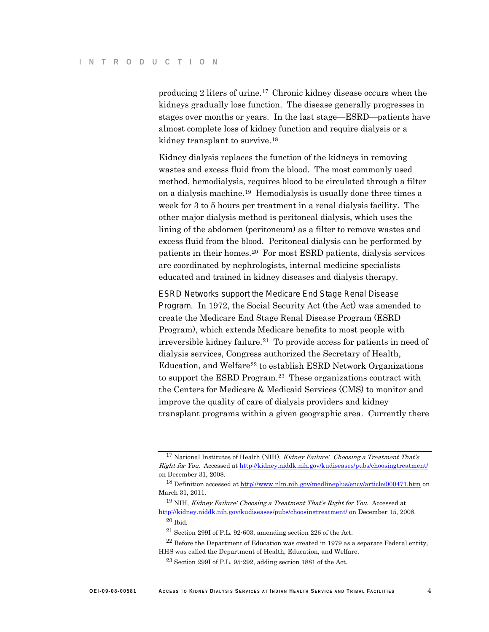producing 2 liters of urine.[17](#page-9-0) Chronic kidney disease occurs when the kidneys gradually lose function. The disease generally progresses in stages over months or years. In the last stage—ESRD—patients have almost complete loss of kidney function and require dialysis or a kidney transplant to survive.<sup>18</sup>

Kidney dialysis replaces the function of the kidneys in removing wastes and excess fluid from the blood. The most commonly used method, hemodialysis, requires blood to be circulated through a filter on a dialysis machine. [19](#page-9-2) Hemodialysis is usually done three times a week for 3 to 5 hours per treatment in a renal dialysis facility. The other major dialysis method is peritoneal dialysis, which uses the lining of the abdomen (peritoneum) as a filter to remove wastes and excess fluid from the blood. Peritoneal dialysis can be performed by patients in their homes.[20](#page-9-3) For most ESRD patients, dialysis services are coordinated by nephrologists, internal medicine specialists educated and trained in kidney diseases and dialysis therapy.

#### *ESRD Networks support the Medicare End Stage Renal Disease*

*Program*. In 1972, the Social Security Act (the Act) was amended to create the Medicare End Stage Renal Disease Program (ESRD Program), which extends Medicare benefits to most people with irreversible kidney failure.[21](#page-9-4) To provide access for patients in need of dialysis services, Congress authorized the Secretary of Health, Education, and Welfare<sup>[22](#page-9-5)</sup> to establish ESRD Network Organizations to support the ESRD Program.[23](#page-9-6) These organizations contract with the Centers for Medicare & Medicaid Services (CMS) to monitor and improve the quality of care of dialysis providers and kidney transplant programs within a given geographic area. Currently there

<span id="page-9-0"></span><sup>&</sup>lt;sup>17</sup> National Institutes of Health (NIH), *Kidney Failure: Choosing a Treatment That's* Right for You. Accessed at<http://kidney.niddk.nih.gov/kudiseases/pubs/choosingtreatment/> on December 31, 2008.

<span id="page-9-1"></span><sup>18</sup> Definition accessed a[t http://www.nlm.nih.gov/medlineplus/ency/article/000471.htm](http://www.nlm.nih.gov/medlineplus/ency/article/000471.htm) on March 31, 2011.

<span id="page-9-2"></span> $19$  NIH, Kidney Failure: Choosing a Treatment That's Right for You. Accessed at <http://kidney.niddk.nih.gov/kudiseases/pubs/choosingtreatment/> on December 15, 2008. <sup>20</sup> Ibid.

<sup>21</sup> Section 299I of P.L. 92-603, amending section 226 of the Act.

<span id="page-9-6"></span><span id="page-9-5"></span><span id="page-9-4"></span><span id="page-9-3"></span> $^{22}$  Before the Department of Education was created in 1979 as a separate Federal entity, HHS was called the Department of Health, Education, and Welfare.

<sup>23</sup> Section 299I of P.L. 95-292, adding section 1881 of the Act.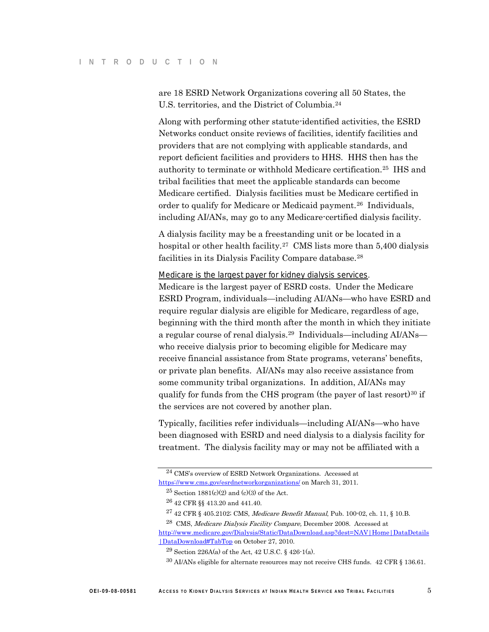are 18 ESRD Network Organizations covering all 50 States, the U.S. territories, and the District of Columbia.[24](#page-10-0)

Along with performing other statute-identified activities, the ESRD Networks conduct onsite reviews of facilities, identify facilities and providers that are not complying with applicable standards, and report deficient facilities and providers to HHS. HHS then has the authority to terminate or withhold Medicare certification. [25](#page-10-1) IHS and tribal facilities that meet the applicable standards can become Medicare certified. Dialysis facilities must be Medicare certified in order to qualify for Medicare or Medicaid payment.<sup>[26](#page-10-2)</sup> Individuals, including AI/ANs, may go to any Medicare-certified dialysis facility.

A dialysis facility may be a freestanding unit or be located in a hospital or other health facility.<sup>[27](#page-10-3)</sup> CMS lists more than 5,400 dialysis facilities in its Dialysis Facility Compare database.<sup>28</sup>

#### *Medicare is the largest payer for kidney dialysis services .*

Medicare is the largest payer of ESRD costs. Under the Medicare ESRD Program, individuals—including AI/ANs—who have ESRD and require regular dialysis are eligible for Medicare, regardless of age, beginning with the third month after the month in which they initiate a regular course of renal dialysis. [29](#page-10-5) Individuals—including AI/ANs who receive dialysis prior to becoming eligible for Medicare may receive financial assistance from State programs, veterans' benefits, or private plan benefits. AI/ANs may also receive assistance from some community tribal organizations. In addition, AI/ANs may qualify for funds from the CHS program (the payer of last resort)<sup>30</sup> if the services are not covered by another plan.

Typically, facilities refer individuals—including AI/ANs—who have been diagnosed with ESRD and need dialysis to a dialysis facility for treatment. The dialysis facility may or may not be affiliated with a

<span id="page-10-1"></span><span id="page-10-0"></span><sup>24</sup> CMS's overview of ESRD Network Organizations. Accessed at <https://www.cms.gov/esrdnetworkorganizations/> on March 31, 2011.

 $25$  Section 1881(c)(2) and (c)(3) of the Act.

<sup>26</sup> 42 CFR §§ 413.20 and 441.40.

 $^{27}$  42 CFR § 405.2102; CMS, *Medicare Benefit Manual*, Pub. 100-02, ch. 11, § 10.B.

<span id="page-10-6"></span><span id="page-10-5"></span><span id="page-10-4"></span><span id="page-10-3"></span><span id="page-10-2"></span><sup>28</sup> CMS, Medicare Dialysis Facility Compare, December 2008. Accessed at [http://www.medicare.gov/Dialysis/Static/DataDownload.asp?dest=NAV|Home|DataDetails](http://www.medicare.gov/Dialysis/Static/DataDownload.asp?dest=NAV|Home|DataDetails|DataDownload#TabTop) [|DataDownload#TabTop](http://www.medicare.gov/Dialysis/Static/DataDownload.asp?dest=NAV|Home|DataDetails|DataDownload#TabTop) on October 27, 2010.

 $29$  Section 226A(a) of the Act, 42 U.S.C. § 426-1(a).

<sup>30</sup> AI/ANs eligible for alternate resources may not receive CHS funds. 42 CFR § 136.61.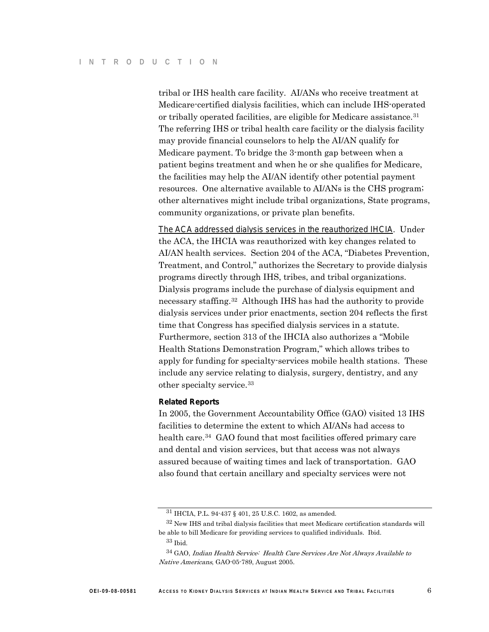tribal or IHS health care facility. AI/ANs who receive treatment at Medicare-certified dialysis facilities, which can include IHS-operated or tribally operated facilities, are eligible for Medicare assistance.<sup>31</sup> The referring IHS or tribal health care facility or the dialysis facility may provide financial counselors to help the AI/AN qualify for Medicare payment. To bridge the 3-month gap between when a patient begins treatment and when he or she qualifies for Medicare, the facilities may help the AI/AN identify other potential payment resources. One alternative available to AI/ANs is the CHS program; other alternatives might include tribal organizations, State programs, community organizations, or private plan benefits.

*The ACA addressed dialysis services in the reauthorized IHCIA*. Under the ACA, the IHCIA was reauthorized with key changes related to AI/AN health services. Section 204 of the ACA, "Diabetes Prevention, Treatment, and Control," authorizes the Secretary to provide dialysis programs directly through IHS, tribes, and tribal organizations. Dialysis programs include the purchase of dialysis equipment and necessary staffing.[32](#page-11-1) Although IHS has had the authority to provide dialysis services under prior enactments, section 204 reflects the first time that Congress has specified dialysis services in a statute. Furthermore, section 313 of the IHCIA also authorizes a "Mobile Health Stations Demonstration Program," which allows tribes to apply for funding for specialty-services mobile health stations. These include any service relating to dialysis, surgery, dentistry, and any other specialty service.[33](#page-11-2)

#### **Related Reports**

In 2005, the Government Accountability Office (GAO) visited 13 IHS facilities to determine the extent to which AI/ANs had access to health care.<sup>[34](#page-11-3)</sup> GAO found that most facilities offered primary care and dental and vision services, but that access was not always assured because of waiting times and lack of transportation. GAO also found that certain ancillary and specialty services were not

<sup>31</sup> IHCIA, P.L. 94-437 § 401, 25 U.S.C. 1602, as amended.

<span id="page-11-1"></span><span id="page-11-0"></span> $32$  New IHS and tribal dialysis facilities that meet Medicare certification standards will be able to bill Medicare for providing services to qualified individuals. Ibid.

<sup>33</sup> Ibid.

<span id="page-11-3"></span><span id="page-11-2"></span><sup>34</sup> GAO, Indian Health Service: Health Care Services Are Not Always Available to Native Americans, GAO-05-789, August 2005.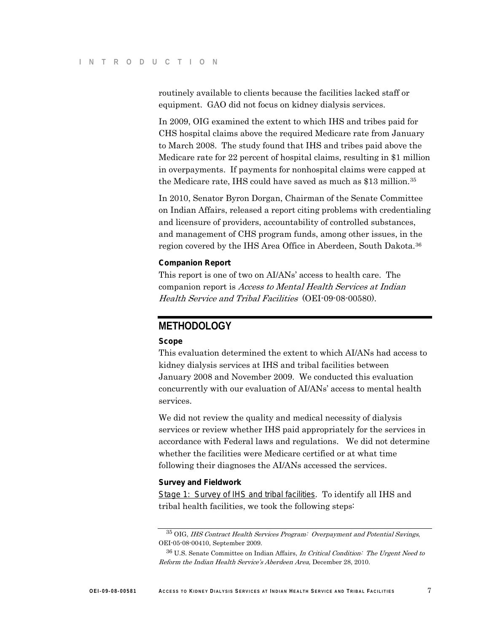routinely available to clients because the facilities lacked staff or equipment. GAO did not focus on kidney dialysis services.

In 2009, OIG examined the extent to which IHS and tribes paid for CHS hospital claims above the required Medicare rate from January to March 2008. The study found that IHS and tribes paid above the Medicare rate for 22 percent of hospital claims, resulting in \$1 million in overpayments. If payments for nonhospital claims were capped at the Medicare rate, IHS could have saved as much as \$13 million.<sup>[35](#page-12-0)</sup>

In 2010, Senator Byron Dorgan, Chairman of the Senate Committee on Indian Affairs, released a report citing problems with credentialing and licensure of providers, accountability of controlled substances, and management of CHS program funds, among other issues, in the region covered by the IHS Area Office in Aberdeen, South Dakota.[36](#page-12-1)

#### **Companion Report**

This report is one of two on AI/ANs' access to health care. The companion report is Access to Mental Health Services at Indian Health Service and Tribal Facilities (OEI-09-08-00580).

### **METHODOLOGY**

#### **Scope**

This evaluation determined the extent to which AI/ANs had access to kidney dialysis services at IHS and tribal facilities between January 2008 and November 2009. We conducted this evaluation concurrently with our evaluation of AI/ANs' access to mental health services.

We did not review the quality and medical necessity of dialysis services or review whether IHS paid appropriately for the services in accordance with Federal laws and regulations. We did not determine whether the facilities were Medicare certified or at what time following their diagnoses the AI/ANs accessed the services.

#### **Survey and Fieldwork**

*Stage 1: Survey of IHS and tribal facilities* . To identify all IHS and tribal health facilities, we took the following steps:

<span id="page-12-0"></span><sup>35</sup> OIG, IHS Contract Health Services Program: Overpayment and Potential Savings, OEI-05-08-00410, September 2009.

<span id="page-12-1"></span> $36$  U.S. Senate Committee on Indian Affairs, In Critical Condition: The Urgent Need to Reform the Indian Health Service's Aberdeen Area, December 28, 2010.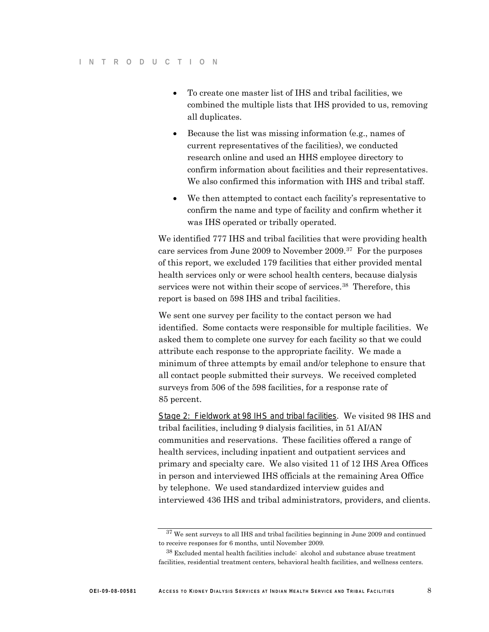- To create one master list of IHS and tribal facilities, we combined the multiple lists that IHS provided to us, removing all duplicates.
- Because the list was missing information (e.g., names of current representatives of the facilities), we conducted research online and used an HHS employee directory to confirm information about facilities and their representatives. We also confirmed this information with IHS and tribal staff.
- We then attempted to contact each facility's representative to confirm the name and type of facility and confirm whether it was IHS operated or tribally operated.

We identified 777 IHS and tribal facilities that were providing health care services from June 2009 to November 2009.[37](#page-13-0) For the purposes of this report, we excluded 179 facilities that either provided mental health services only or were school health centers, because dialysis services were not within their scope of services.<sup>[38](#page-13-1)</sup> Therefore, this report is based on 598 IHS and tribal facilities.

We sent one survey per facility to the contact person we had identified. Some contacts were responsible for multiple facilities. We asked them to complete one survey for each facility so that we could attribute each response to the appropriate facility. We made a minimum of three attempts by email and/or telephone to ensure that all contact people submitted their surveys. We received completed surveys from 506 of the 598 facilities, for a response rate of 85 percent.

*Stage 2: Fieldwork at 98 IHS and tribal facilities*. We visited 98 IHS and tribal facilities, including 9 dialysis facilities, in 51 AI/AN communities and reservations. These facilities offered a range of health services, including inpatient and outpatient services and primary and specialty care. We also visited 11 of 12 IHS Area Offices in person and interviewed IHS officials at the remaining Area Office by telephone. We used standardized interview guides and interviewed 436 IHS and tribal administrators, providers, and clients.

<span id="page-13-0"></span> $^{37}\,$  We sent surveys to all IHS and tribal facilities beginning in June 2009 and continued to receive responses for 6 months, until November 2009.

<span id="page-13-1"></span><sup>38</sup> Excluded mental health facilities include: alcohol and substance abuse treatment facilities, residential treatment centers, behavioral health facilities, and wellness centers.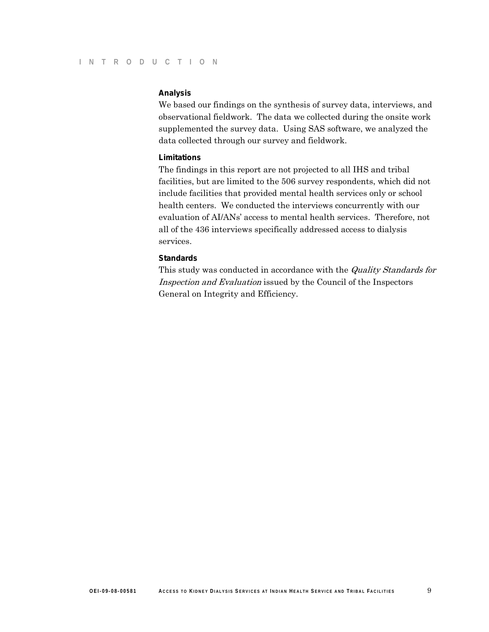#### **Analysis**

We based our findings on the synthesis of survey data, interviews, and observational fieldwork. The data we collected during the onsite work supplemented the survey data. Using SAS software, we analyzed the data collected through our survey and fieldwork.

#### **Limitations**

The findings in this report are not projected to all IHS and tribal facilities, but are limited to the 506 survey respondents, which did not include facilities that provided mental health services only or school health centers. We conducted the interviews concurrently with our evaluation of AI/ANs' access to mental health services. Therefore, not all of the 436 interviews specifically addressed access to dialysis services.

#### **Standards**

This study was conducted in accordance with the *Quality Standards for* Inspection and Evaluation issued by the Council of the Inspectors General on Integrity and Efficiency.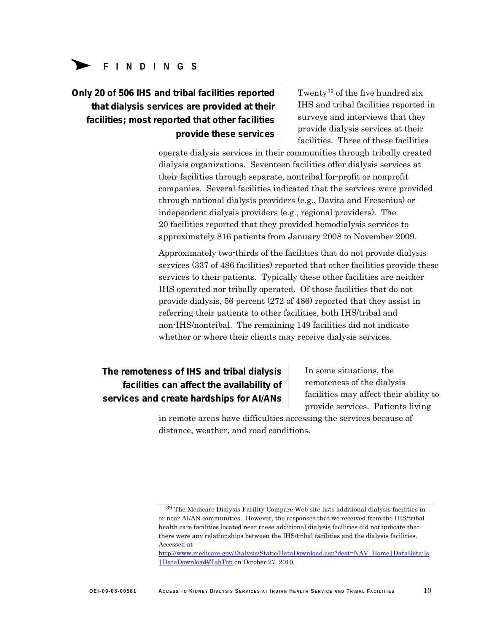# **FINDINGS**

### **Only 20 of 506 IHS and tribal facilities reported that dialysis services are provided at their facilities; most reported that other facilities provide these services**

 $39$  of the five hundred six IHS and tribal facilities reported in surveys and interviews that they provide dialysis services at their facilities. Three of these facilities

operate dialysis services in their communities through tribally created dialysis organizations. Seventeen facilities offer dialysis services at their facilities through separate, nontribal for-profit or nonprofit companies. Several facilities indicated that the services were provided through national dialysis providers (e.g., Davita and Fresenius) or independent dialysis providers (e.g., regional providers). The 20 facilities reported that they provided hemodialysis services to approximately 816 patients from January 2008 to November 2009.

Approximately two-thirds of the facilities that do not provide dialysis services (337 of 486 facilities) reported that other facilities provide these services to their patients. Typically these other facilities are neither IHS operated nor tribally operated. Of those facilities that do not provide dialysis, 56 percent (272 of 486) reported that they assist in referring their patients to other facilities, both IHS/tribal and non-IHS/nontribal. The remaining 149 facilities did not indicate whether or where their clients may receive dialysis services.

### **The remoteness of IHS and tribal dialysis facilities can affect the availability of services and create hardships for AI/ANs**

In some situations, the remoteness of the dialysis facilities may affect their ability to provide services. Patients living

in remote areas have difficulties accessing the services because of distance, weather, and road conditions.

<span id="page-15-0"></span><sup>39</sup> The Medicare Dialysis Facility Compare Web site lists additional dialysis facilities in or near AI/AN communities. However, the responses that we received from the IHS/tribal health care facilities located near these additional dialysis facilities did not indicate that there were any relationships between the IHS/tribal facilities and the dialysis facilities. Accessed at

[http://www.medicare.gov/Dialysis/Static/DataDownload.asp?dest=NAV|Home|DataDetails](http://www.medicare.gov/Dialysis/Static/DataDownload.asp?dest=NAV|Home|DataDetails|DataDownload#TabTop) [|DataDownload#TabTop](http://www.medicare.gov/Dialysis/Static/DataDownload.asp?dest=NAV|Home|DataDetails|DataDownload#TabTop) on October 27, 2010.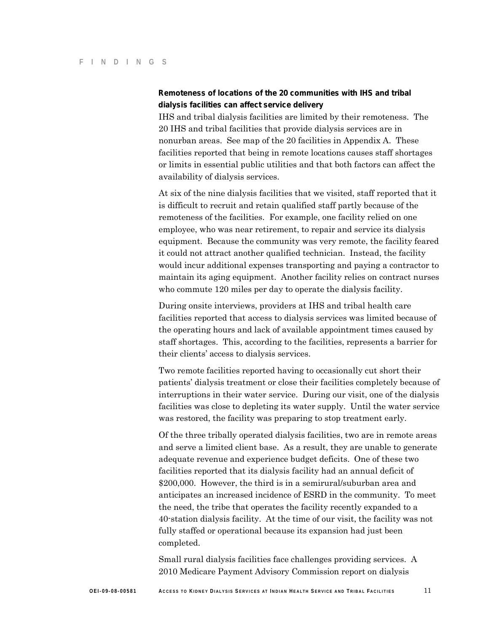### **Remoteness of locations of the 20 communities with IHS and tribal dialysis facilities can affect service delivery**

IHS and tribal dialysis facilities are limited by their remoteness. The 20 IHS and tribal facilities that provide dialysis services are in nonurban areas. See map of the 20 facilities in Appendix A. These facilities reported that being in remote locations causes staff shortages or limits in essential public utilities and that both factors can affect the availability of dialysis services.

At six of the nine dialysis facilities that we visited, staff reported that it is difficult to recruit and retain qualified staff partly because of the remoteness of the facilities. For example, one facility relied on one employee, who was near retirement, to repair and service its dialysis equipment. Because the community was very remote, the facility feared it could not attract another qualified technician. Instead, the facility would incur additional expenses transporting and paying a contractor to maintain its aging equipment. Another facility relies on contract nurses who commute 120 miles per day to operate the dialysis facility.

During onsite interviews, providers at IHS and tribal health care facilities reported that access to dialysis services was limited because of the operating hours and lack of available appointment times caused by staff shortages. This, according to the facilities, represents a barrier for their clients' access to dialysis services.

Two remote facilities reported having to occasionally cut short their patients' dialysis treatment or close their facilities completely because of interruptions in their water service. During our visit, one of the dialysis facilities was close to depleting its water supply. Until the water service was restored, the facility was preparing to stop treatment early.

Of the three tribally operated dialysis facilities, two are in remote areas and serve a limited client base. As a result, they are unable to generate adequate revenue and experience budget deficits. One of these two facilities reported that its dialysis facility had an annual deficit of \$200,000. However, the third is in a semirural/suburban area and anticipates an increased incidence of ESRD in the community. To meet the need, the tribe that operates the facility recently expanded to a 40-station dialysis facility. At the time of our visit, the facility was not fully staffed or operational because its expansion had just been completed.

Small rural dialysis facilities face challenges providing services. A 2010 Medicare Payment Advisory Commission report on dialysis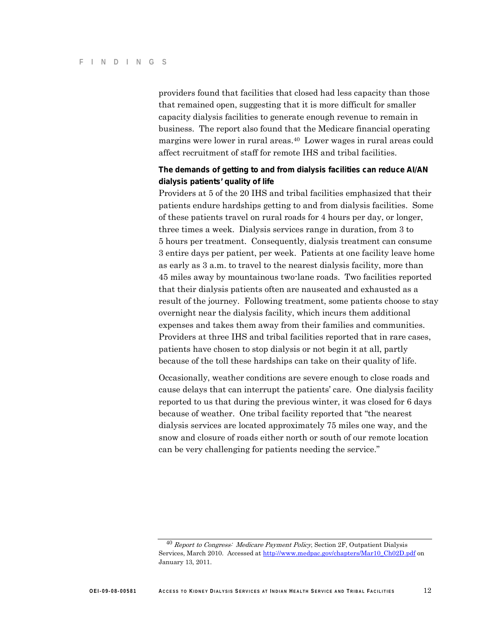providers found that facilities that closed had less capacity than those that remained open, suggesting that it is more difficult for smaller capacity dialysis facilities to generate enough revenue to remain in business. The report also found that the Medicare financial operating margins were lower in rural areas.<sup>[40](#page-17-0)</sup> Lower wages in rural areas could affect recruitment of staff for remote IHS and tribal facilities.

### **The demands of getting to and from dialysis facilities can reduce AI/AN dialysis patients' quality of life**

Providers at 5 of the 20 IHS and tribal facilities emphasized that their patients endure hardships getting to and from dialysis facilities. Some of these patients travel on rural roads for 4 hours per day, or longer, three times a week. Dialysis services range in duration, from 3 to 5 hours per treatment. Consequently, dialysis treatment can consume 3 entire days per patient, per week. Patients at one facility leave home as early as 3 a.m. to travel to the nearest dialysis facility, more than 45 miles away by mountainous two-lane roads. Two facilities reported that their dialysis patients often are nauseated and exhausted as a result of the journey. Following treatment, some patients choose to stay overnight near the dialysis facility, which incurs them additional expenses and takes them away from their families and communities. Providers at three IHS and tribal facilities reported that in rare cases, patients have chosen to stop dialysis or not begin it at all, partly because of the toll these hardships can take on their quality of life.

Occasionally, weather conditions are severe enough to close roads and cause delays that can interrupt the patients' care. One dialysis facility reported to us that during the previous winter, it was closed for 6 days because of weather. One tribal facility reported that "the nearest dialysis services are located approximately 75 miles one way, and the snow and closure of roads either north or south of our remote location can be very challenging for patients needing the service."

<span id="page-17-0"></span><sup>&</sup>lt;sup>40</sup> Report to Congress: Medicare Payment Policy, Section 2F, Outpatient Dialysis Services, March 2010. Accessed a[t http://www.medpac.gov/chapters/Mar10\\_Ch02D.pdf](http://www.medpac.gov/chapters/Mar10_Ch02D.pdf) on January 13, 2011.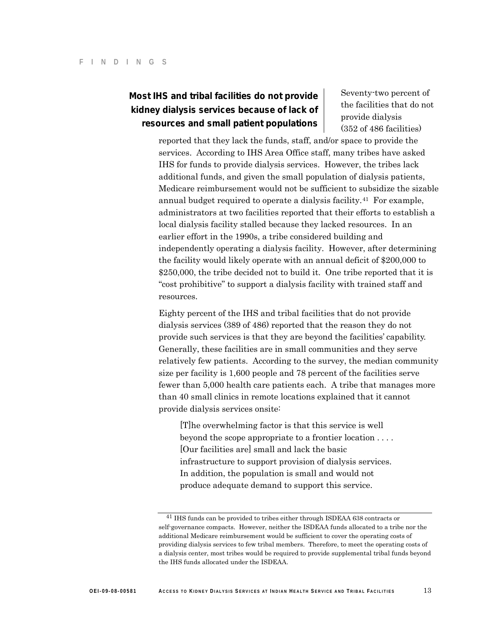### **Most IHS and tribal facilities do not provide** Seventy-two percent of **kidney dialysis services because of lack of resources and small patient populations**

the facilities that do not provide dialysis (352 of 486 facilities)

reported that they lack the funds, staff, and/or space to provide the services. According to IHS Area Office staff, many tribes have asked IHS for funds to provide dialysis services. However, the tribes lack additional funds, and given the small population of dialysis patients, Medicare reimbursement would not be sufficient to subsidize the sizable annual budget required to operate a dialysis facility.<sup>[41](#page-18-0)</sup> For example, administrators at two facilities reported that their efforts to establish a local dialysis facility stalled because they lacked resources. In an earlier effort in the 1990s, a tribe considered building and independently operating a dialysis facility. However, after determining the facility would likely operate with an annual deficit of \$200,000 to \$250,000, the tribe decided not to build it. One tribe reported that it is "cost prohibitive" to support a dialysis facility with trained staff and resources.

Eighty percent of the IHS and tribal facilities that do not provide dialysis services (389 of 486) reported that the reason they do not provide such services is that they are beyond the facilities' capability. Generally, these facilities are in small communities and they serve relatively few patients. According to the survey, the median community size per facility is 1,600 people and 78 percent of the facilities serve fewer than 5,000 health care patients each. A tribe that manages more than 40 small clinics in remote locations explained that it cannot provide dialysis services onsite:

[T]he overwhelming factor is that this service is well beyond the scope appropriate to a frontier location . . . . [Our facilities are] small and lack the basic infrastructure to support provision of dialysis services. In addition, the population is small and would not produce adequate demand to support this service.

<span id="page-18-0"></span> $^{41}$  IHS funds can be provided to tribes either through ISDEAA 638 contracts or self-governance compacts. However, neither the ISDEAA funds allocated to a tribe nor the additional Medicare reimbursement would be sufficient to cover the operating costs of providing dialysis services to few tribal members. Therefore, to meet the operating costs of a dialysis center, most tribes would be required to provide supplemental tribal funds beyond the IHS funds allocated under the ISDEAA.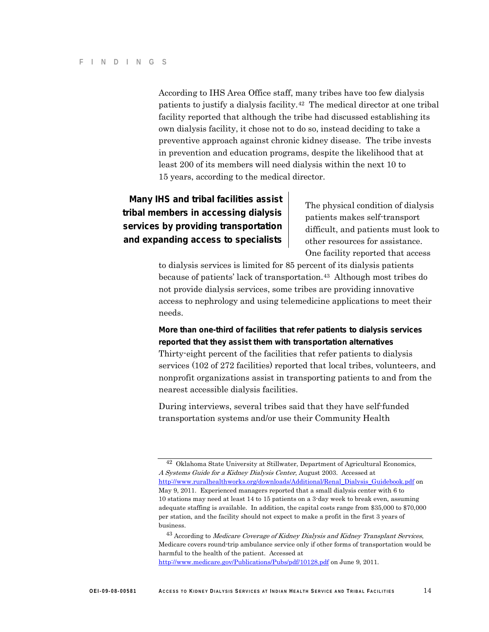According to IHS Area Office staff, many tribes have too few dialysis patients to justify a dialysis facility.[42](#page-19-0) The medical director at one tribal facility reported that although the tribe had discussed establishing its own dialysis facility, it chose not to do so, instead deciding to take a preventive approach against chronic kidney disease. The tribe invests in prevention and education programs, despite the likelihood that at least 200 of its members will need dialysis within the next 10 to 15 years, according to the medical director.

### **Many IHS and tribal facilities assist tribal members in accessing dialysis services by providing transportation and expanding access to specialists**

The physical condition of dialysis patients makes self-transport difficult, and patients must look to other resources for assistance. One facility reported that access

to dialysis services is limited for 85 percent of its dialysis patients because of patients' lack of transportation.[43](#page-19-1) Although most tribes do not provide dialysis services, some tribes are providing innovative access to nephrology and using telemedicine applications to meet their needs.

### **More than one-third of facilities that refer patients to dialysis services reported that they assist them with transportation alternatives**

Thirty-eight percent of the facilities that refer patients to dialysis services (102 of 272 facilities) reported that local tribes, volunteers, and nonprofit organizations assist in transporting patients to and from the nearest accessible dialysis facilities.

During interviews, several tribes said that they have self-funded transportation systems and/or use their Community Health

<span id="page-19-1"></span><http://www.medicare.gov/Publications/Pubs/pdf/10128.pdf> on June 9, 2011.

<span id="page-19-0"></span><sup>42</sup> Oklahoma State University at Stillwater, Department of Agricultural Economics, A Systems Guide for a Kidney Dialysis Center, August 2003. Accessed at [http://www.ruralhealthworks.org/downloads/Additional/Renal\\_Dialysis\\_Guidebook.pdf](http://www.ruralhealthworks.org/downloads/Additional/Renal_Dialysis_Guidebook.pdf) on May 9, 2011. Experienced managers reported that a small dialysis center with 6 to 10 stations may need at least 14 to 15 patients on a 3-day week to break even, assuming adequate staffing is available. In addition, the capital costs range from \$35,000 to \$70,000 per station, and the facility should not expect to make a profit in the first 3 years of business.

 $^{43}$  According to Medicare Coverage of Kidney Dialysis and Kidney Transplant Services, Medicare covers round-trip ambulance service only if other forms of transportation would be harmful to the health of the patient. Accessed at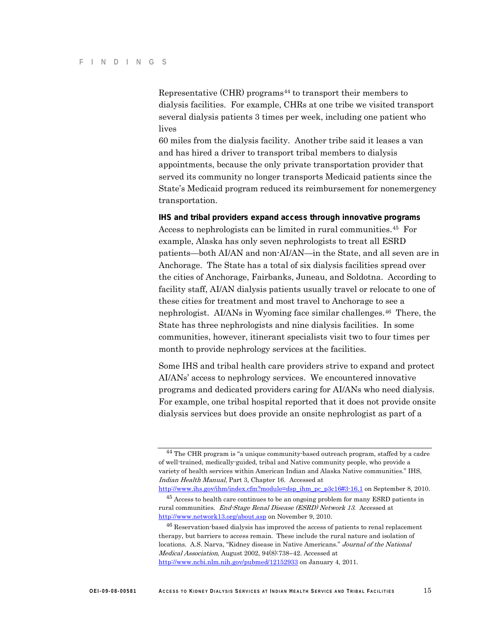Representative  $(CHR)$  programs<sup>[44](#page-20-0)</sup> to transport their members to dialysis facilities. For example, CHRs at one tribe we visited transport several dialysis patients 3 times per week, including one patient who lives

60 miles from the dialysis facility. Another tribe said it leases a van and has hired a driver to transport tribal members to dialysis appointments, because the only private transportation provider that served its community no longer transports Medicaid patients since the State's Medicaid program reduced its reimbursement for nonemergency transportation.

#### **IHS and tribal providers expand access through innovative programs**

Access to nephrologists can be limited in rural communities.<sup>[45](#page-20-1)</sup> For example, Alaska has only seven nephrologists to treat all ESRD patients—both AI/AN and non-AI/AN—in the State, and all seven are in Anchorage. The State has a total of six dialysis facilities spread over the cities of Anchorage, Fairbanks, Juneau, and Soldotna. According to facility staff, AI/AN dialysis patients usually travel or relocate to one of these cities for treatment and most travel to Anchorage to see a nephrologist. AI/ANs in Wyoming face similar challenges.[46](#page-20-2) There, the State has three nephrologists and nine dialysis facilities. In some communities, however, itinerant specialists visit two to four times per month to provide nephrology services at the facilities.

Some IHS and tribal health care providers strive to expand and protect AI/ANs' access to nephrology services. We encountered innovative programs and dedicated providers caring for AI/ANs who need dialysis. For example, one tribal hospital reported that it does not provide onsite dialysis services but does provide an onsite nephrologist as part of a

[http://www.ihs.gov/ihm/index.cfm?module=dsp\\_ihm\\_pc\\_p3c16#3-16.1](http://www.ihs.gov/ihm/index.cfm?module=dsp_ihm_pc_p3c16#3-16.1) on September 8, 2010.

<span id="page-20-0"></span><sup>&</sup>lt;sup>44</sup> The CHR program is "a unique community-based outreach program, staffed by a cadre of well-trained, medically-guided, tribal and Native community people, who provide a variety of health services within American Indian and Alaska Native communities." IHS, Indian Health Manual, Part 3, Chapter 16. Accessed at

<span id="page-20-1"></span><sup>45</sup> Access to health care continues to be an ongoing problem for many ESRD patients in rural communities. End-Stage Renal Disease (ESRD) Network 13. Accessed at <http://www.network13.org/about.asp> on November 9, 2010.

<span id="page-20-2"></span><sup>46</sup> Reservation-based dialysis has improved the access of patients to renal replacement therapy, but barriers to access remain. These include the rural nature and isolation of locations. A.S. Narva, "Kidney disease in Native Americans." Journal of the National Medical Association, August 2002, 94(8):738–42. Accessed at <http://www.ncbi.nlm.nih.gov/pubmed/12152933> on January 4, 2011.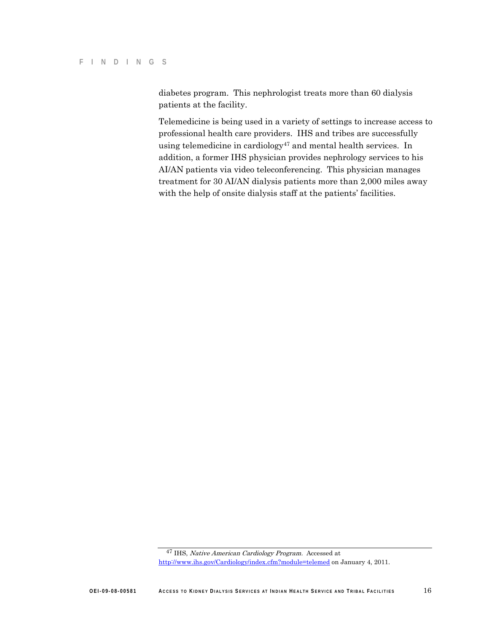diabetes program. This nephrologist treats more than 60 dialysis patients at the facility.

Telemedicine is being used in a variety of settings to increase access to professional health care providers. IHS and tribes are successfully using telemedicine in cardiology<sup>[47](#page-21-0)</sup> and mental health services. In addition, a former IHS physician provides nephrology services to his AI/AN patients via video teleconferencing. This physician manages treatment for 30 AI/AN dialysis patients more than 2,000 miles away with the help of onsite dialysis staff at the patients' facilities.

<span id="page-21-0"></span><sup>47</sup> IHS, Native American Cardiology Program. Accessed at <http://www.ihs.gov/Cardiology/index.cfm?module=telemed> on January 4, 2011.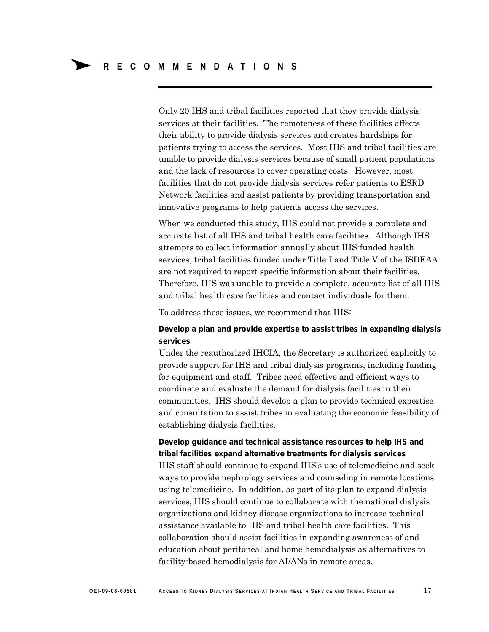Only 20 IHS and tribal facilities reported that they provide dialysis services at their facilities. The remoteness of these facilities affects their ability to provide dialysis services and creates hardships for patients trying to access the services. Most IHS and tribal facilities are unable to provide dialysis services because of small patient populations and the lack of resources to cover operating costs. However, most facilities that do not provide dialysis services refer patients to ESRD Network facilities and assist patients by providing transportation and innovative programs to help patients access the services.

When we conducted this study, IHS could not provide a complete and accurate list of all IHS and tribal health care facilities. Although IHS attempts to collect information annually about IHS-funded health services, tribal facilities funded under Title I and Title V of the ISDEAA are not required to report specific information about their facilities. Therefore, IHS was unable to provide a complete, accurate list of all IHS and tribal health care facilities and contact individuals for them.

To address these issues, we recommend that IHS:

### **Develop a plan and provide expertise to assist tribes in expanding dialysis services**

Under the reauthorized IHCIA, the Secretary is authorized explicitly to provide support for IHS and tribal dialysis programs, including funding for equipment and staff. Tribes need effective and efficient ways to coordinate and evaluate the demand for dialysis facilities in their communities. IHS should develop a plan to provide technical expertise and consultation to assist tribes in evaluating the economic feasibility of establishing dialysis facilities.

### **Develop guidance and technical assistance resources to help IHS and tribal facilities expand alternative treatments for dialysis services**

IHS staff should continue to expand IHS's use of telemedicine and seek ways to provide nephrology services and counseling in remote locations using telemedicine. In addition, as part of its plan to expand dialysis services, IHS should continue to collaborate with the national dialysis organizations and kidney disease organizations to increase technical assistance available to IHS and tribal health care facilities. This collaboration should assist facilities in expanding awareness of and education about peritoneal and home hemodialysis as alternatives to facility-based hemodialysis for AI/ANs in remote areas.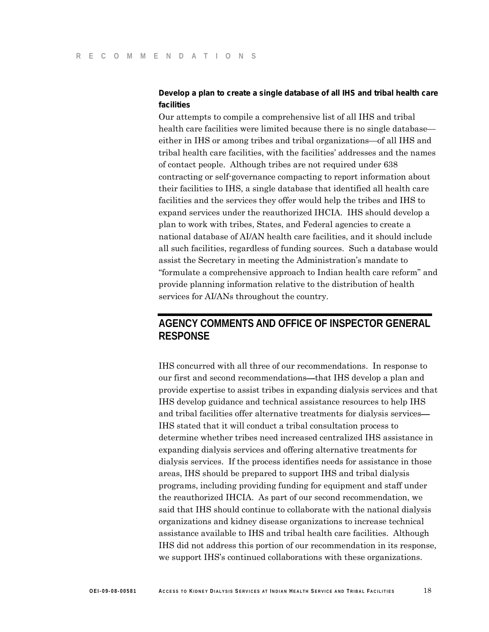### **Develop a plan to create a single database of all IHS and tribal health care facilities**

Our attempts to compile a comprehensive list of all IHS and tribal health care facilities were limited because there is no single database either in IHS or among tribes and tribal organizations—of all IHS and tribal health care facilities, with the facilities' addresses and the names of contact people. Although tribes are not required under 638 contracting or self-governance compacting to report information about their facilities to IHS, a single database that identified all health care facilities and the services they offer would help the tribes and IHS to expand services under the reauthorized IHCIA. IHS should develop a plan to work with tribes, States, and Federal agencies to create a national database of AI/AN health care facilities, and it should include all such facilities, regardless of funding sources. Such a database would assist the Secretary in meeting the Administration's mandate to "formulate a comprehensive approach to Indian health care reform" and provide planning information relative to the distribution of health services for AI/ANs throughout the country.

### **AGENCY COMMENTS AND OFFICE OF INSPECTOR GENERAL RESPONSE**

IHS concurred with all three of our recommendations. In response to our first and second recommendations—that IHS develop a plan and provide expertise to assist tribes in expanding dialysis services and that IHS develop guidance and technical assistance resources to help IHS and tribal facilities offer alternative treatments for dialysis services— IHS stated that it will conduct a tribal consultation process to determine whether tribes need increased centralized IHS assistance in expanding dialysis services and offering alternative treatments for dialysis services. If the process identifies needs for assistance in those areas, IHS should be prepared to support IHS and tribal dialysis programs, including providing funding for equipment and staff under the reauthorized IHCIA. As part of our second recommendation, we said that IHS should continue to collaborate with the national dialysis organizations and kidney disease organizations to increase technical assistance available to IHS and tribal health care facilities. Although IHS did not address this portion of our recommendation in its response, we support IHS's continued collaborations with these organizations.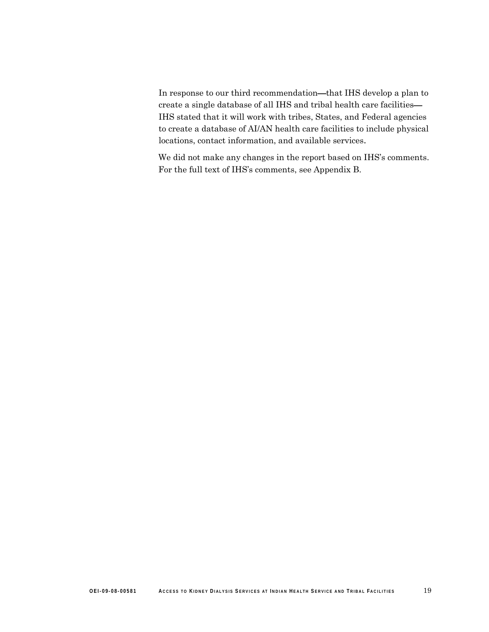In response to our third recommendation—that IHS develop a plan to create a single database of all IHS and tribal health care facilities— IHS stated that it will work with tribes, States, and Federal agencies to create a database of AI/AN health care facilities to include physical locations, contact information, and available services.

We did not make any changes in the report based on IHS's comments. For the full text of IHS's comments, see Appendix B.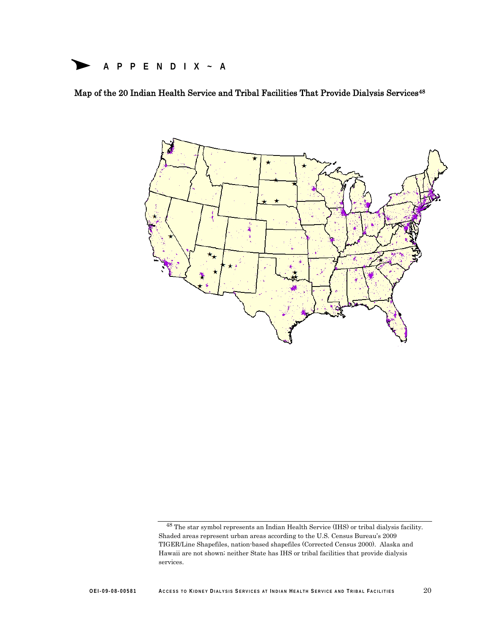### **APPENDIX~A**

Map of the 20 Indian Health Service and Tribal Facilities That Provide Dialysis Services<sup>48</sup>



<span id="page-25-0"></span><sup>48</sup> The star symbol represents an Indian Health Service (IHS) or tribal dialysis facility. Shaded areas represent urban areas according to the U.S. Census Bureau's 2009 TIGER/Line Shapefiles, nation-based shapefiles (Corrected Census 2000). Alaska and Hawaii are not shown; neither State has IHS or tribal facilities that provide dialysis services.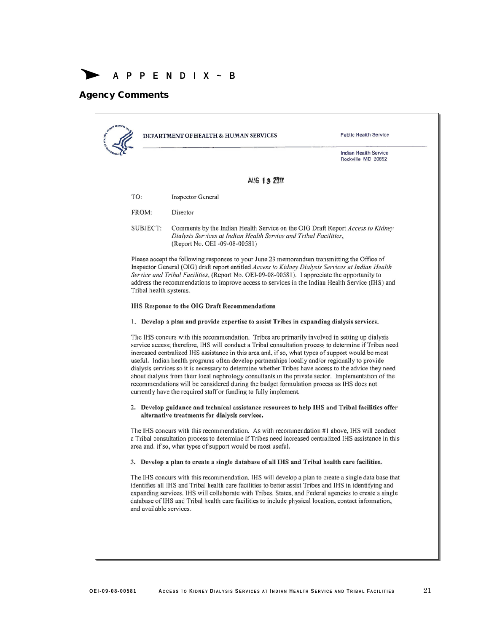**APPENDIX~B**

### Agency Comments

|                        | DEPARTMENT OF HEALTH & HUMAN SERVICES                                                                                                                                                                                                                                                                                                                                                                                                                                                                                                                                                                                                                                                                                                                                                         | <b>Public Health Service</b>                                                                          |
|------------------------|-----------------------------------------------------------------------------------------------------------------------------------------------------------------------------------------------------------------------------------------------------------------------------------------------------------------------------------------------------------------------------------------------------------------------------------------------------------------------------------------------------------------------------------------------------------------------------------------------------------------------------------------------------------------------------------------------------------------------------------------------------------------------------------------------|-------------------------------------------------------------------------------------------------------|
|                        |                                                                                                                                                                                                                                                                                                                                                                                                                                                                                                                                                                                                                                                                                                                                                                                               | <b>Indian Health Service</b><br>Rockville MD 20852                                                    |
|                        | <b>AUG 19 2011</b>                                                                                                                                                                                                                                                                                                                                                                                                                                                                                                                                                                                                                                                                                                                                                                            |                                                                                                       |
| TO:                    | <b>Inspector General</b>                                                                                                                                                                                                                                                                                                                                                                                                                                                                                                                                                                                                                                                                                                                                                                      |                                                                                                       |
| FROM:                  | Director                                                                                                                                                                                                                                                                                                                                                                                                                                                                                                                                                                                                                                                                                                                                                                                      |                                                                                                       |
| SUBJECT:               | Comments by the Indian Health Service on the OIG Draft Report Access to Kidney<br>Dialysis Services at Indian Health Service and Tribal Facilities,<br>(Report No. OEI -09-08-00581)                                                                                                                                                                                                                                                                                                                                                                                                                                                                                                                                                                                                          |                                                                                                       |
| Tribal health systems. | Please accept the following responses to your June 23 memorandum transmitting the Office of<br>Inspector General (OIG) draft report entitled Access to Kidney Dialysis Services at Indian Health<br>Service and Tribal Facilities, (Report No. OEI-09-08-00581). I appreciate the opportunity to<br>address the recommendations to improve access to services in the Indian Health Service (IHS) and                                                                                                                                                                                                                                                                                                                                                                                          |                                                                                                       |
|                        | <b>IHS Response to the OIG Draft Recommendations</b>                                                                                                                                                                                                                                                                                                                                                                                                                                                                                                                                                                                                                                                                                                                                          |                                                                                                       |
|                        | 1. Develop a plan and provide expertise to assist Tribes in expanding dialysis services.                                                                                                                                                                                                                                                                                                                                                                                                                                                                                                                                                                                                                                                                                                      |                                                                                                       |
|                        | The IHS concurs with this recommendation. Tribes are primarily involved in setting up dialysis<br>service access; therefore, IHS will conduct a Tribal consultation process to determine if Tribes need<br>increased centralized IHS assistance in this area and, if so, what types of support would be most<br>useful. Indian health programs often develop partnerships locally and/or regionally to provide<br>dialysis services so it is necessary to determine whether Tribes have access to the advice they need<br>about dialysis from their local nephrology consultants in the private sector. Implementation of the<br>recommendations will be considered during the budget formulation process as IHS does not<br>currently have the required staff or funding to fully implement. |                                                                                                       |
|                        | 2. Develop guidance and technical assistance resources to help IHS and Tribal facilities offer<br>alternative treatments for dialysis services.                                                                                                                                                                                                                                                                                                                                                                                                                                                                                                                                                                                                                                               |                                                                                                       |
|                        | The IHS concurs with this recommendation. As with recommendation #1 above, IHS will conduct<br>a Tribal consultation process to determine if Tribes need increased centralized IHS assistance in this<br>area and, if so, what types of support would be most useful.                                                                                                                                                                                                                                                                                                                                                                                                                                                                                                                         |                                                                                                       |
|                        | 3. Develop a plan to create a single database of all IHS and Tribal health care facilities.                                                                                                                                                                                                                                                                                                                                                                                                                                                                                                                                                                                                                                                                                                   |                                                                                                       |
|                        | The IHS concurs with this recommendation. IHS will develop a plan to create a single data base that<br>identifies all IHS and Tribal health care facilities to better assist Tribes and IHS in identifying and                                                                                                                                                                                                                                                                                                                                                                                                                                                                                                                                                                                | expanding services. IHS will collaborate with Tribes, States, and Federal agencies to create a single |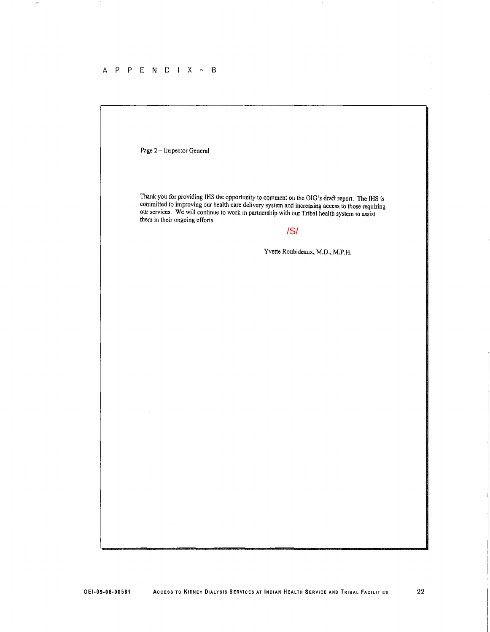#### $A$  P P E N D I X ~ B

Page 2 - Inspector General Thank you for providing IHS the opportunity to comment on the OlO'8 draft report. The IHS is committed to improving our health care delivery system and increasing access to those requiring our services. We will continue to work in partnership with our Tribal health system to assist them in their ongoing efforts. Yvette Roubideaux, M.D., M.P.H. /S/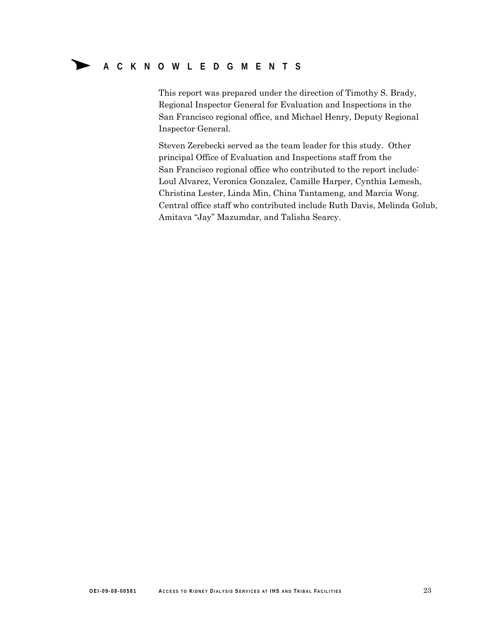### **ACKNOWLEDGMENTS**

This report was prepared under the direction of Timothy S. Brady, Regional Inspector General for Evaluation and Inspections in the San Francisco regional office, and Michael Henry, Deputy Regional Inspector General.

Steven Zerebecki served as the team leader for this study. Other principal Office of Evaluation and Inspections staff from the San Francisco regional office who contributed to the report include: Loul Alvarez, Veronica Gonzalez, Camille Harper, Cynthia Lemesh, Christina Lester, Linda Min, China Tantameng, and Marcia Wong. Central office staff who contributed include Ruth Davis, Melinda Golub, Amitava "Jay" Mazumdar, and Talisha Searcy.